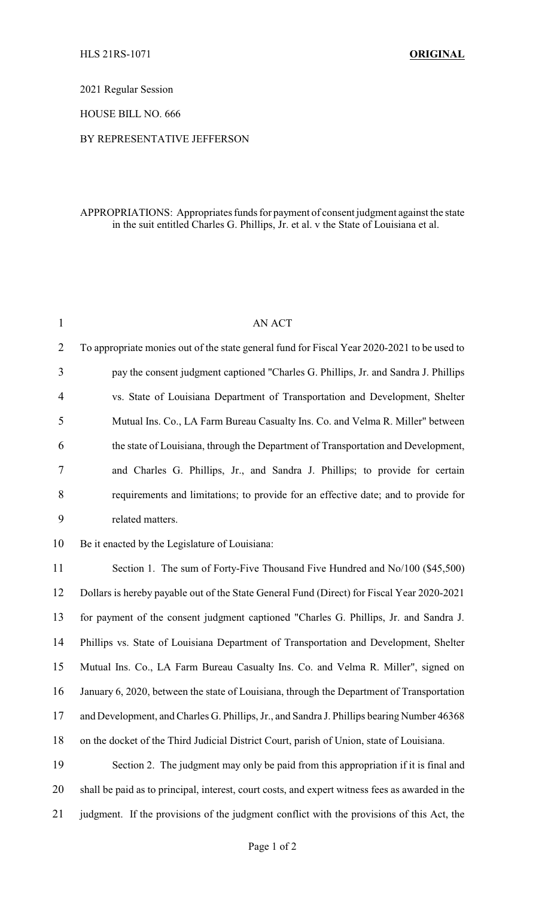2021 Regular Session

HOUSE BILL NO. 666

## BY REPRESENTATIVE JEFFERSON

## APPROPRIATIONS: Appropriates funds for payment of consent judgment against the state in the suit entitled Charles G. Phillips, Jr. et al. v the State of Louisiana et al.

| $\mathbf{1}$   | AN ACT                                                                                          |
|----------------|-------------------------------------------------------------------------------------------------|
| $\overline{2}$ | To appropriate monies out of the state general fund for Fiscal Year 2020-2021 to be used to     |
| 3              | pay the consent judgment captioned "Charles G. Phillips, Jr. and Sandra J. Phillips             |
| 4              | vs. State of Louisiana Department of Transportation and Development, Shelter                    |
| 5              | Mutual Ins. Co., LA Farm Bureau Casualty Ins. Co. and Velma R. Miller" between                  |
| 6              | the state of Louisiana, through the Department of Transportation and Development,               |
| 7              | and Charles G. Phillips, Jr., and Sandra J. Phillips; to provide for certain                    |
| 8              | requirements and limitations; to provide for an effective date; and to provide for              |
| 9              | related matters.                                                                                |
| 10             | Be it enacted by the Legislature of Louisiana:                                                  |
| 11             | Section 1. The sum of Forty-Five Thousand Five Hundred and No/100 (\$45,500)                    |
| 12             | Dollars is hereby payable out of the State General Fund (Direct) for Fiscal Year 2020-2021      |
| 13             | for payment of the consent judgment captioned "Charles G. Phillips, Jr. and Sandra J.           |
| 14             | Phillips vs. State of Louisiana Department of Transportation and Development, Shelter           |
| 15             | Mutual Ins. Co., LA Farm Bureau Casualty Ins. Co. and Velma R. Miller", signed on               |
| 16             | January 6, 2020, between the state of Louisiana, through the Department of Transportation       |
| 17             | and Development, and Charles G. Phillips, Jr., and Sandra J. Phillips bearing Number 46368      |
| 18             | on the docket of the Third Judicial District Court, parish of Union, state of Louisiana.        |
| 19             | Section 2. The judgment may only be paid from this appropriation if it is final and             |
| 20             | shall be paid as to principal, interest, court costs, and expert witness fees as awarded in the |
| 21             | judgment. If the provisions of the judgment conflict with the provisions of this Act, the       |